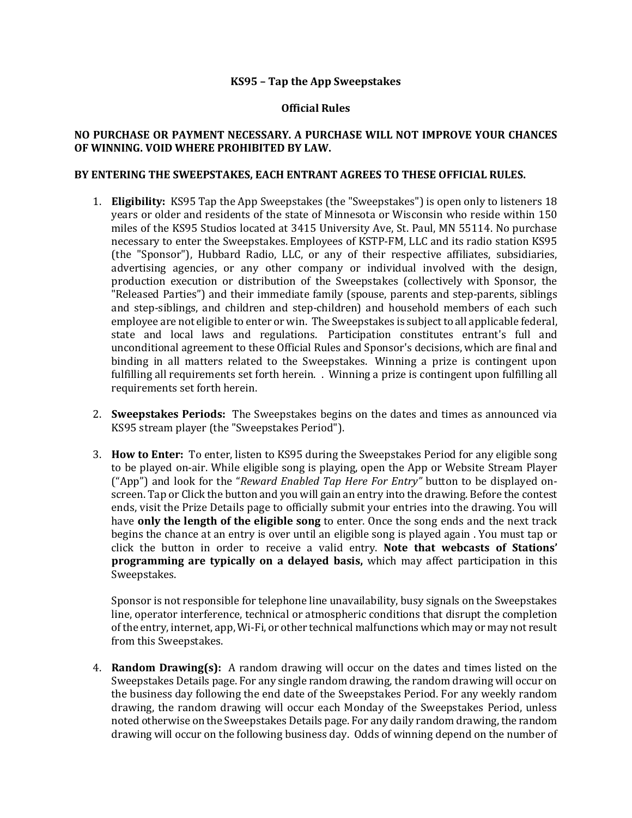## **KS95 – Tap the App Sweepstakes**

## **Official Rules**

## **NO PURCHASE OR PAYMENT NECESSARY. A PURCHASE WILL NOT IMPROVE YOUR CHANCES** OF WINNING. VOID WHERE PROHIBITED BY LAW.

## BY ENTERING THE SWEEPSTAKES, EACH ENTRANT AGREES TO THESE OFFICIAL RULES.

- 1. **Eligibility:** KS95 Tap the App Sweepstakes (the "Sweepstakes") is open only to listeners 18 years or older and residents of the state of Minnesota or Wisconsin who reside within 150 miles of the KS95 Studios located at 3415 University Ave, St. Paul, MN 55114. No purchase necessary to enter the Sweepstakes. Employees of KSTP-FM, LLC and its radio station KS95 (the "Sponsor"), Hubbard Radio, LLC, or any of their respective affiliates, subsidiaries, advertising agencies, or any other company or individual involved with the design, production execution or distribution of the Sweepstakes (collectively with Sponsor, the "Released Parties") and their immediate family (spouse, parents and step-parents, siblings and step-siblings, and children and step-children) and household members of each such employee are not eligible to enter or win. The Sweepstakes is subject to all applicable federal, state and local laws and regulations. Participation constitutes entrant's full and unconditional agreement to these Official Rules and Sponsor's decisions, which are final and binding in all matters related to the Sweepstakes. Winning a prize is contingent upon fulfilling all requirements set forth herein. . Winning a prize is contingent upon fulfilling all requirements set forth herein.
- 2. **Sweepstakes Periods:** The Sweepstakes begins on the dates and times as announced via KS95 stream player (the "Sweepstakes Period").
- 3. **How to Enter:** To enter, listen to KS95 during the Sweepstakes Period for any eligible song to be played on-air. While eligible song is playing, open the App or Website Stream Player ("App") and look for the "*Reward Enabled Tap Here For Entry"* button to be displayed onscreen. Tap or Click the button and you will gain an entry into the drawing. Before the contest ends, visit the Prize Details page to officially submit your entries into the drawing. You will have **only the length of the eligible song** to enter. Once the song ends and the next track begins the chance at an entry is over until an eligible song is played again . You must tap or click the button in order to receive a valid entry. Note that webcasts of Stations' **programming are typically on a delayed basis,** which may affect participation in this Sweepstakes.

Sponsor is not responsible for telephone line unavailability, busy signals on the Sweepstakes line, operator interference, technical or atmospheric conditions that disrupt the completion of the entry, internet, app, Wi-Fi, or other technical malfunctions which may or may not result from this Sweepstakes.

4. **Random Drawing(s):** A random drawing will occur on the dates and times listed on the Sweepstakes Details page. For any single random drawing, the random drawing will occur on the business day following the end date of the Sweepstakes Period. For any weekly random drawing, the random drawing will occur each Monday of the Sweepstakes Period, unless noted otherwise on the Sweepstakes Details page. For any daily random drawing, the random drawing will occur on the following business day. Odds of winning depend on the number of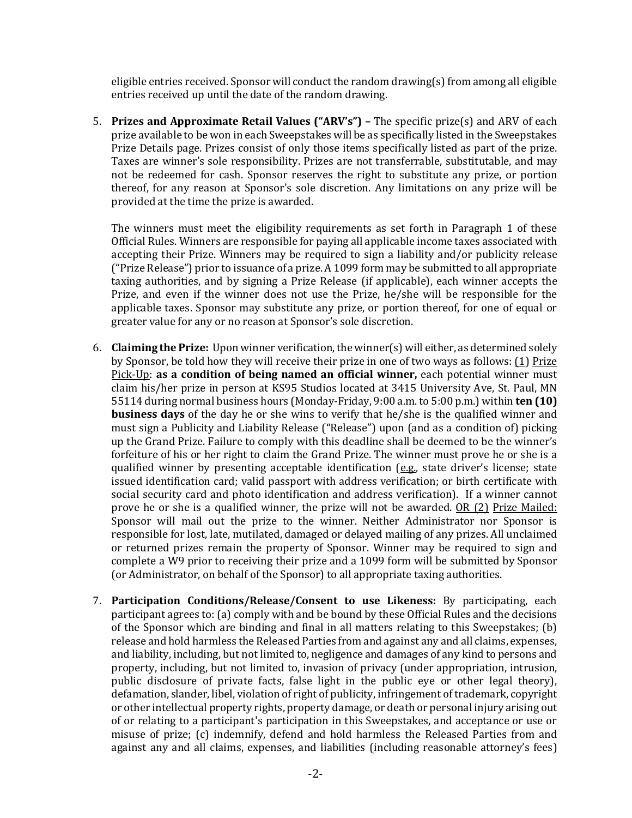eligible entries received. Sponsor will conduct the random drawing(s) from among all eligible entries received up until the date of the random drawing.

5. **Prizes and Approximate Retail Values ("ARV's")** – The specific prize(s) and ARV of each prize available to be won in each Sweepstakes will be as specifically listed in the Sweepstakes Prize Details page. Prizes consist of only those items specifically listed as part of the prize. Taxes are winner's sole responsibility. Prizes are not transferrable, substitutable, and may not be redeemed for cash. Sponsor reserves the right to substitute any prize, or portion thereof, for any reason at Sponsor's sole discretion. Any limitations on any prize will be provided at the time the prize is awarded.

The winners must meet the eligibility requirements as set forth in Paragraph 1 of these Official Rules. Winners are responsible for paying all applicable income taxes associated with accepting their Prize. Winners may be required to sign a liability and/or publicity release ("Prize Release") prior to issuance of a prize. A 1099 form may be submitted to all appropriate taxing authorities, and by signing a Prize Release (if applicable), each winner accepts the Prize, and even if the winner does not use the Prize, he/she will be responsible for the applicable taxes. Sponsor may substitute any prize, or portion thereof, for one of equal or greater value for any or no reason at Sponsor's sole discretion.

- 6. **Claiming the Prize:** Upon winner verification, the winner(s) will either, as determined solely by Sponsor, be told how they will receive their prize in one of two ways as follows: (1) Prize Pick-Up: as a condition of being named an official winner, each potential winner must claim his/her prize in person at KS95 Studios located at 3415 University Ave, St. Paul, MN 55114 during normal business hours (Monday-Friday, 9:00 a.m. to 5:00 p.m.) within **ten (10) business days** of the day he or she wins to verify that he/she is the qualified winner and must sign a Publicity and Liability Release ("Release") upon (and as a condition of) picking up the Grand Prize. Failure to comply with this deadline shall be deemed to be the winner's forfeiture of his or her right to claim the Grand Prize. The winner must prove he or she is a qualified winner by presenting acceptable identification  $(e.g.,\)$  state driver's license; state issued identification card; valid passport with address verification; or birth certificate with social security card and photo identification and address verification). If a winner cannot prove he or she is a qualified winner, the prize will not be awarded. OR (2) Prize Mailed: Sponsor will mail out the prize to the winner. Neither Administrator nor Sponsor is responsible for lost, late, mutilated, damaged or delayed mailing of any prizes. All unclaimed or returned prizes remain the property of Sponsor. Winner may be required to sign and complete a W9 prior to receiving their prize and a 1099 form will be submitted by Sponsor (or Administrator, on behalf of the Sponsor) to all appropriate taxing authorities.
- 7. **Participation Conditions/Release/Consent to use Likeness:** By participating, each participant agrees to: (a) comply with and be bound by these Official Rules and the decisions of the Sponsor which are binding and final in all matters relating to this Sweepstakes; (b) release and hold harmless the Released Parties from and against any and all claims, expenses, and liability, including, but not limited to, negligence and damages of any kind to persons and property, including, but not limited to, invasion of privacy (under appropriation, intrusion, public disclosure of private facts, false light in the public eye or other legal theory), defamation, slander, libel, violation of right of publicity, infringement of trademark, copyright or other intellectual property rights, property damage, or death or personal injury arising out of or relating to a participant's participation in this Sweepstakes, and acceptance or use or misuse of prize; (c) indemnify, defend and hold harmless the Released Parties from and against any and all claims, expenses, and liabilities (including reasonable attorney's fees)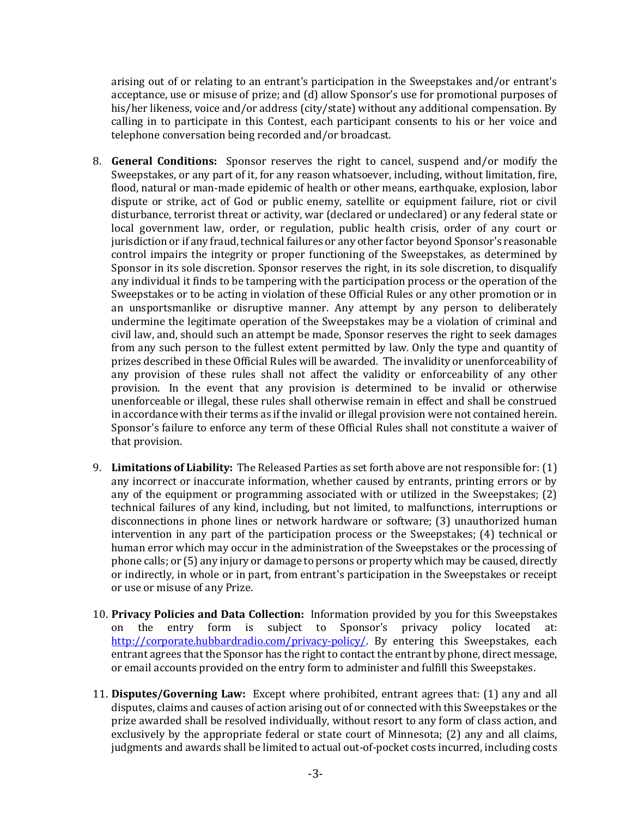arising out of or relating to an entrant's participation in the Sweepstakes and/or entrant's acceptance, use or misuse of prize; and  $(d)$  allow Sponsor's use for promotional purposes of his/her likeness, voice and/or address (city/state) without any additional compensation. By calling in to participate in this Contest, each participant consents to his or her voice and telephone conversation being recorded and/or broadcast.

- 8. **General Conditions:** Sponsor reserves the right to cancel, suspend and/or modify the Sweepstakes, or any part of it, for any reason whatsoever, including, without limitation, fire, flood, natural or man-made epidemic of health or other means, earthquake, explosion, labor dispute or strike, act of God or public enemy, satellite or equipment failure, riot or civil disturbance, terrorist threat or activity, war (declared or undeclared) or any federal state or local government law, order, or regulation, public health crisis, order of any court or jurisdiction or if any fraud, technical failures or any other factor beyond Sponsor's reasonable control impairs the integrity or proper functioning of the Sweepstakes, as determined by Sponsor in its sole discretion. Sponsor reserves the right, in its sole discretion, to disqualify any individual it finds to be tampering with the participation process or the operation of the Sweepstakes or to be acting in violation of these Official Rules or any other promotion or in an unsportsmanlike or disruptive manner. Any attempt by any person to deliberately undermine the legitimate operation of the Sweepstakes may be a violation of criminal and civil law, and, should such an attempt be made, Sponsor reserves the right to seek damages from any such person to the fullest extent permitted by law. Only the type and quantity of prizes described in these Official Rules will be awarded. The invalidity or unenforceability of any provision of these rules shall not affect the validity or enforceability of any other provision. In the event that any provision is determined to be invalid or otherwise unenforceable or illegal, these rules shall otherwise remain in effect and shall be construed in accordance with their terms as if the invalid or illegal provision were not contained herein. Sponsor's failure to enforce any term of these Official Rules shall not constitute a waiver of that provision.
- 9. **Limitations of Liability:** The Released Parties as set forth above are not responsible for: (1) any incorrect or inaccurate information, whether caused by entrants, printing errors or by any of the equipment or programming associated with or utilized in the Sweepstakes;  $(2)$ technical failures of any kind, including, but not limited, to malfunctions, interruptions or disconnections in phone lines or network hardware or software; (3) unauthorized human intervention in any part of the participation process or the Sweepstakes;  $(4)$  technical or human error which may occur in the administration of the Sweepstakes or the processing of phone calls; or  $(5)$  any injury or damage to persons or property which may be caused, directly or indirectly, in whole or in part, from entrant's participation in the Sweepstakes or receipt or use or misuse of any Prize.
- 10. **Privacy Policies and Data Collection:** Information provided by you for this Sweepstakes on the entry form is subject to Sponsor's privacy policy located at: http://corporate.hubbardradio.com/privacy-policy/. By entering this Sweepstakes, each entrant agrees that the Sponsor has the right to contact the entrant by phone, direct message, or email accounts provided on the entry form to administer and fulfill this Sweepstakes.
- 11. **Disputes/Governing Law:** Except where prohibited, entrant agrees that: (1) any and all disputes, claims and causes of action arising out of or connected with this Sweepstakes or the prize awarded shall be resolved individually, without resort to any form of class action, and exclusively by the appropriate federal or state court of Minnesota;  $(2)$  any and all claims, judgments and awards shall be limited to actual out-of-pocket costs incurred, including costs